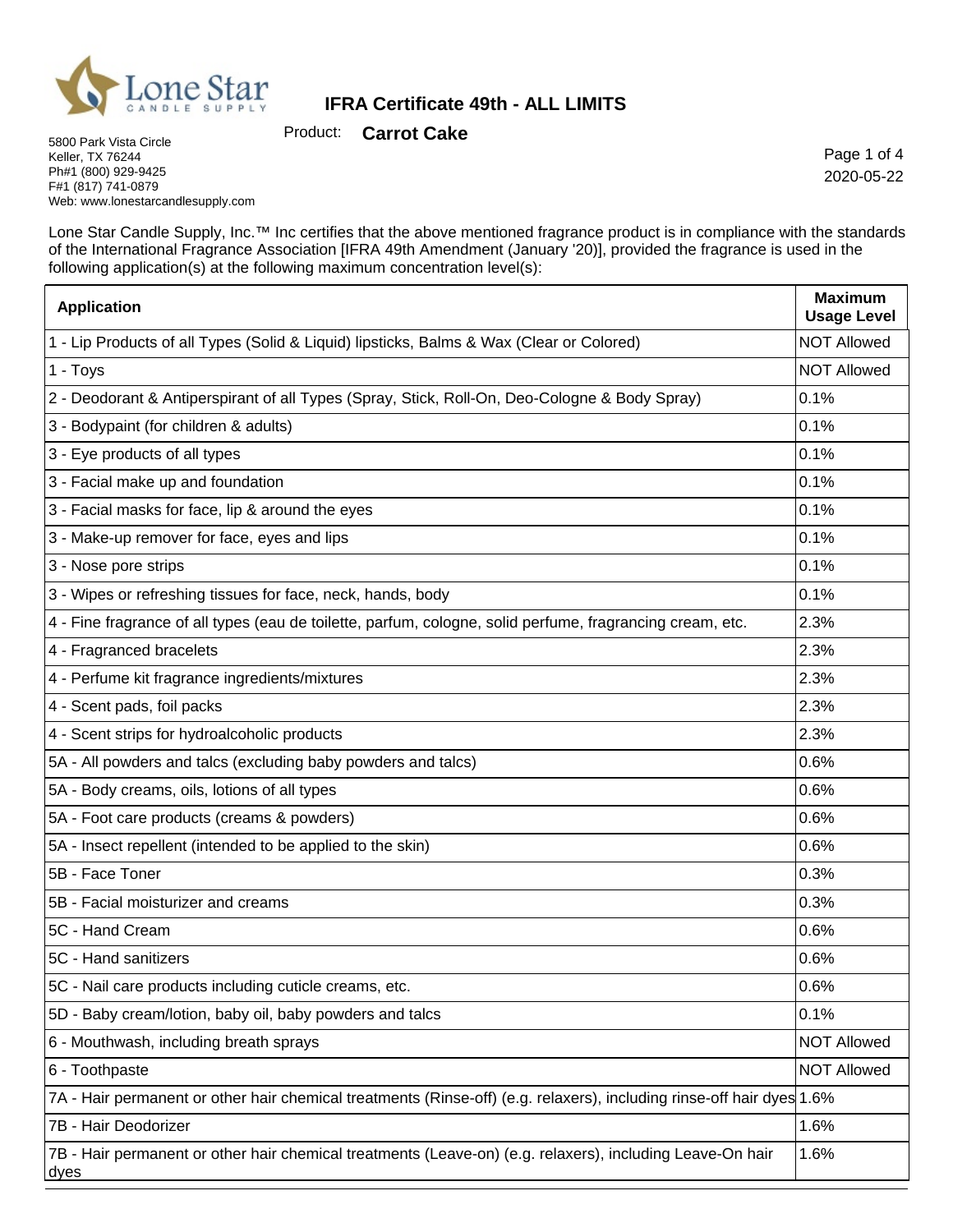

Product: **Carrot Cake**

5800 Park Vista Circle Keller, TX 76244 Ph#1 (800) 929-9425 F#1 (817) 741-0879 Web: www.lonestarcandlesupply.com

Page 1 of 4 2020-05-22

Lone Star Candle Supply, Inc.™ Inc certifies that the above mentioned fragrance product is in compliance with the standards of the International Fragrance Association [IFRA 49th Amendment (January '20)], provided the fragrance is used in the following application(s) at the following maximum concentration level(s):

| <b>Application</b>                                                                                                    | <b>Maximum</b><br><b>Usage Level</b> |
|-----------------------------------------------------------------------------------------------------------------------|--------------------------------------|
| 1 - Lip Products of all Types (Solid & Liquid) lipsticks, Balms & Wax (Clear or Colored)                              | <b>NOT Allowed</b>                   |
| 1 - Toys                                                                                                              | <b>NOT Allowed</b>                   |
| 2 - Deodorant & Antiperspirant of all Types (Spray, Stick, Roll-On, Deo-Cologne & Body Spray)                         | 0.1%                                 |
| 3 - Bodypaint (for children & adults)                                                                                 | 0.1%                                 |
| 3 - Eye products of all types                                                                                         | 0.1%                                 |
| 3 - Facial make up and foundation                                                                                     | 0.1%                                 |
| 3 - Facial masks for face, lip & around the eyes                                                                      | 0.1%                                 |
| 3 - Make-up remover for face, eyes and lips                                                                           | 0.1%                                 |
| 3 - Nose pore strips                                                                                                  | 0.1%                                 |
| 3 - Wipes or refreshing tissues for face, neck, hands, body                                                           | 0.1%                                 |
| 4 - Fine fragrance of all types (eau de toilette, parfum, cologne, solid perfume, fragrancing cream, etc.             | 2.3%                                 |
| 4 - Fragranced bracelets                                                                                              | 2.3%                                 |
| 4 - Perfume kit fragrance ingredients/mixtures                                                                        | 2.3%                                 |
| 4 - Scent pads, foil packs                                                                                            | 2.3%                                 |
| 4 - Scent strips for hydroalcoholic products                                                                          | 2.3%                                 |
| 5A - All powders and talcs (excluding baby powders and talcs)                                                         | 0.6%                                 |
| 5A - Body creams, oils, lotions of all types                                                                          | 0.6%                                 |
| 5A - Foot care products (creams & powders)                                                                            | 0.6%                                 |
| 5A - Insect repellent (intended to be applied to the skin)                                                            | 0.6%                                 |
| 5B - Face Toner                                                                                                       | 0.3%                                 |
| 5B - Facial moisturizer and creams                                                                                    | 0.3%                                 |
| 5C - Hand Cream                                                                                                       | 0.6%                                 |
| 5C - Hand sanitizers                                                                                                  | 0.6%                                 |
| 5C - Nail care products including cuticle creams, etc.                                                                | 0.6%                                 |
| 5D - Baby cream/lotion, baby oil, baby powders and talcs                                                              | 0.1%                                 |
| 6 - Mouthwash, including breath sprays                                                                                | <b>NOT Allowed</b>                   |
| 6 - Toothpaste                                                                                                        | <b>NOT Allowed</b>                   |
| 7A - Hair permanent or other hair chemical treatments (Rinse-off) (e.g. relaxers), including rinse-off hair dyes 1.6% |                                      |
| 7B - Hair Deodorizer                                                                                                  | 1.6%                                 |
| 7B - Hair permanent or other hair chemical treatments (Leave-on) (e.g. relaxers), including Leave-On hair<br>dyes     | 1.6%                                 |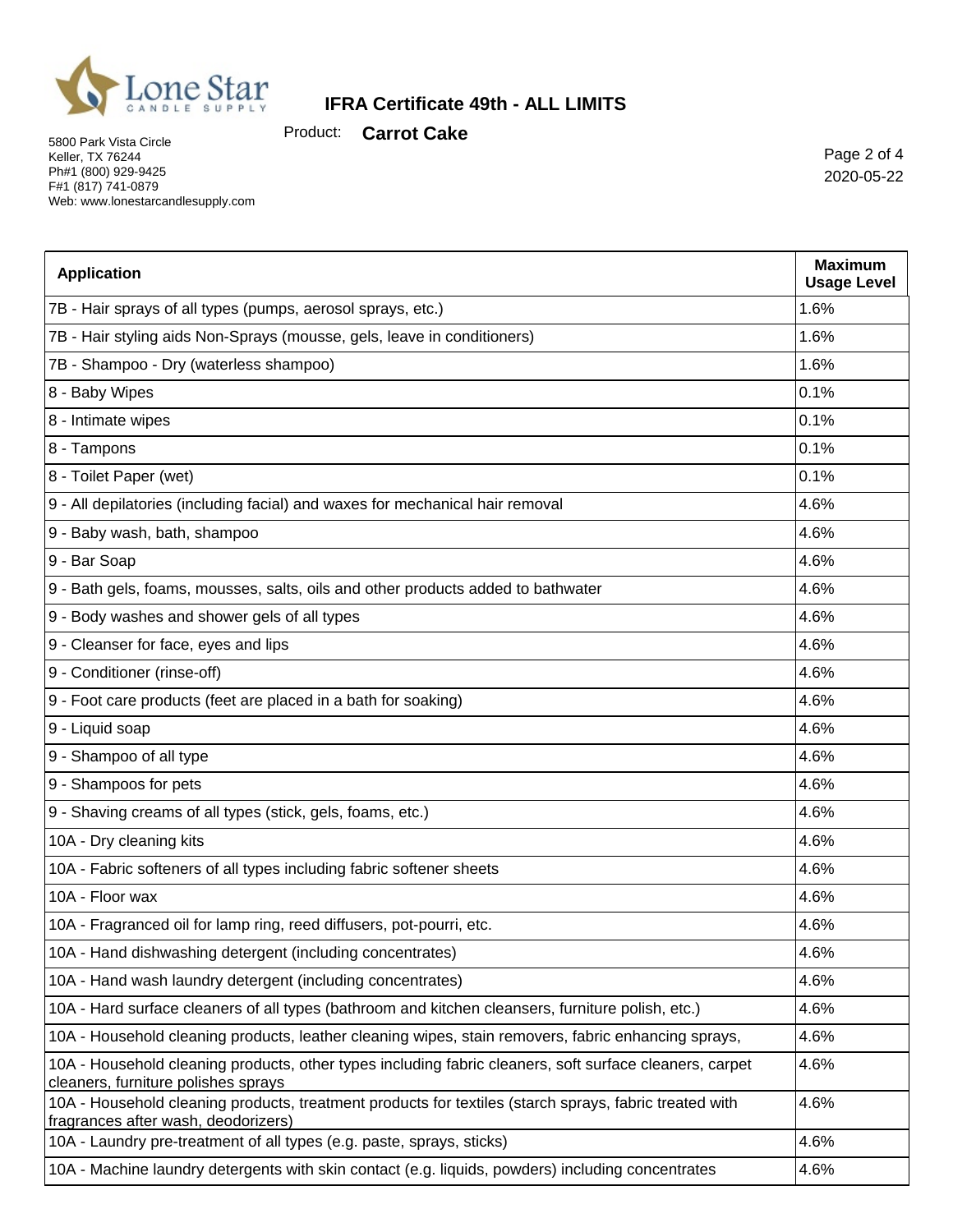

Product: **Carrot Cake**

5800 Park Vista Circle Keller, TX 76244 Ph#1 (800) 929-9425 F#1 (817) 741-0879 Web: www.lonestarcandlesupply.com

Page 2 of 4 2020-05-22

| <b>Application</b>                                                                                                                             | <b>Maximum</b>             |
|------------------------------------------------------------------------------------------------------------------------------------------------|----------------------------|
|                                                                                                                                                | <b>Usage Level</b><br>1.6% |
| 7B - Hair sprays of all types (pumps, aerosol sprays, etc.)                                                                                    |                            |
| 7B - Hair styling aids Non-Sprays (mousse, gels, leave in conditioners)                                                                        | 1.6%                       |
| 7B - Shampoo - Dry (waterless shampoo)                                                                                                         | 1.6%                       |
| 8 - Baby Wipes                                                                                                                                 | 0.1%                       |
| 8 - Intimate wipes                                                                                                                             | 0.1%                       |
| 8 - Tampons                                                                                                                                    | 0.1%                       |
| 8 - Toilet Paper (wet)                                                                                                                         | 0.1%                       |
| 9 - All depilatories (including facial) and waxes for mechanical hair removal                                                                  | 4.6%                       |
| 9 - Baby wash, bath, shampoo                                                                                                                   | 4.6%                       |
| 9 - Bar Soap                                                                                                                                   | 4.6%                       |
| 9 - Bath gels, foams, mousses, salts, oils and other products added to bathwater                                                               | 4.6%                       |
| 9 - Body washes and shower gels of all types                                                                                                   | 4.6%                       |
| 9 - Cleanser for face, eyes and lips                                                                                                           | 4.6%                       |
| 9 - Conditioner (rinse-off)                                                                                                                    | 4.6%                       |
| 9 - Foot care products (feet are placed in a bath for soaking)                                                                                 | 4.6%                       |
| 9 - Liquid soap                                                                                                                                | 4.6%                       |
| 9 - Shampoo of all type                                                                                                                        | 4.6%                       |
| 9 - Shampoos for pets                                                                                                                          | 4.6%                       |
| 9 - Shaving creams of all types (stick, gels, foams, etc.)                                                                                     | 4.6%                       |
| 10A - Dry cleaning kits                                                                                                                        | 4.6%                       |
| 10A - Fabric softeners of all types including fabric softener sheets                                                                           | 4.6%                       |
| 10A - Floor wax                                                                                                                                | 4.6%                       |
| 10A - Fragranced oil for lamp ring, reed diffusers, pot-pourri, etc.                                                                           | 4.6%                       |
| 10A - Hand dishwashing detergent (including concentrates)                                                                                      | 4.6%                       |
| 10A - Hand wash laundry detergent (including concentrates)                                                                                     | 4.6%                       |
| 10A - Hard surface cleaners of all types (bathroom and kitchen cleansers, furniture polish, etc.)                                              | 4.6%                       |
| 10A - Household cleaning products, leather cleaning wipes, stain removers, fabric enhancing sprays,                                            | 4.6%                       |
| 10A - Household cleaning products, other types including fabric cleaners, soft surface cleaners, carpet<br>cleaners, furniture polishes sprays | 4.6%                       |
| 10A - Household cleaning products, treatment products for textiles (starch sprays, fabric treated with<br>fragrances after wash, deodorizers)  | 4.6%                       |
| 10A - Laundry pre-treatment of all types (e.g. paste, sprays, sticks)                                                                          | 4.6%                       |
| 10A - Machine laundry detergents with skin contact (e.g. liquids, powders) including concentrates                                              | 4.6%                       |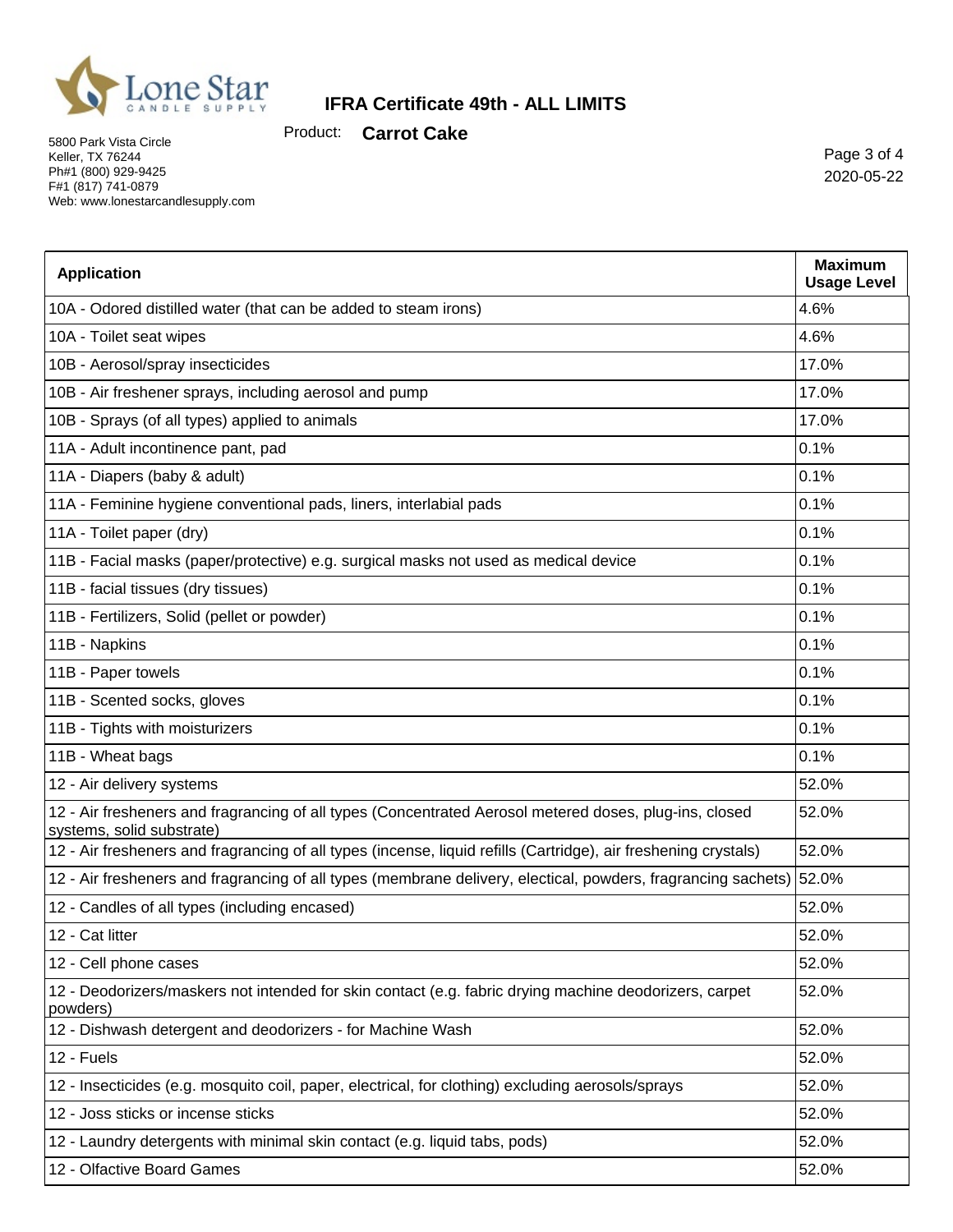

Product: **Carrot Cake**

5800 Park Vista Circle Keller, TX 76244 Ph#1 (800) 929-9425 F#1 (817) 741-0879 Web: www.lonestarcandlesupply.com

Page 3 of 4 2020-05-22

| <b>Application</b>                                                                                                                  | <b>Maximum</b><br><b>Usage Level</b> |
|-------------------------------------------------------------------------------------------------------------------------------------|--------------------------------------|
| 10A - Odored distilled water (that can be added to steam irons)                                                                     | 4.6%                                 |
| 10A - Toilet seat wipes                                                                                                             | 4.6%                                 |
| 10B - Aerosol/spray insecticides                                                                                                    | 17.0%                                |
| 10B - Air freshener sprays, including aerosol and pump                                                                              | 17.0%                                |
| 10B - Sprays (of all types) applied to animals                                                                                      | 17.0%                                |
| 11A - Adult incontinence pant, pad                                                                                                  | 0.1%                                 |
| 11A - Diapers (baby & adult)                                                                                                        | 0.1%                                 |
| 11A - Feminine hygiene conventional pads, liners, interlabial pads                                                                  | 0.1%                                 |
| 11A - Toilet paper (dry)                                                                                                            | 0.1%                                 |
| 11B - Facial masks (paper/protective) e.g. surgical masks not used as medical device                                                | 0.1%                                 |
| 11B - facial tissues (dry tissues)                                                                                                  | 0.1%                                 |
| 11B - Fertilizers, Solid (pellet or powder)                                                                                         | 0.1%                                 |
| 11B - Napkins                                                                                                                       | 0.1%                                 |
| 11B - Paper towels                                                                                                                  | 0.1%                                 |
| 11B - Scented socks, gloves                                                                                                         | 0.1%                                 |
| 11B - Tights with moisturizers                                                                                                      | 0.1%                                 |
| 11B - Wheat bags                                                                                                                    | 0.1%                                 |
| 12 - Air delivery systems                                                                                                           | 52.0%                                |
| 12 - Air fresheners and fragrancing of all types (Concentrated Aerosol metered doses, plug-ins, closed<br>systems, solid substrate) | 52.0%                                |
| 12 - Air fresheners and fragrancing of all types (incense, liquid refills (Cartridge), air freshening crystals)                     | 52.0%                                |
| 12 - Air fresheners and fragrancing of all types (membrane delivery, electical, powders, fragrancing sachets) 52.0%                 |                                      |
| 12 - Candles of all types (including encased)                                                                                       | 52.0%                                |
| 12 - Cat litter                                                                                                                     | 52.0%                                |
| 12 - Cell phone cases                                                                                                               | 52.0%                                |
| 12 - Deodorizers/maskers not intended for skin contact (e.g. fabric drying machine deodorizers, carpet<br>powders)                  | 52.0%                                |
| 12 - Dishwash detergent and deodorizers - for Machine Wash                                                                          | 52.0%                                |
| 12 - Fuels                                                                                                                          | 52.0%                                |
| 12 - Insecticides (e.g. mosquito coil, paper, electrical, for clothing) excluding aerosols/sprays                                   | 52.0%                                |
| 12 - Joss sticks or incense sticks                                                                                                  | 52.0%                                |
| 12 - Laundry detergents with minimal skin contact (e.g. liquid tabs, pods)                                                          | 52.0%                                |
| 12 - Olfactive Board Games                                                                                                          | 52.0%                                |